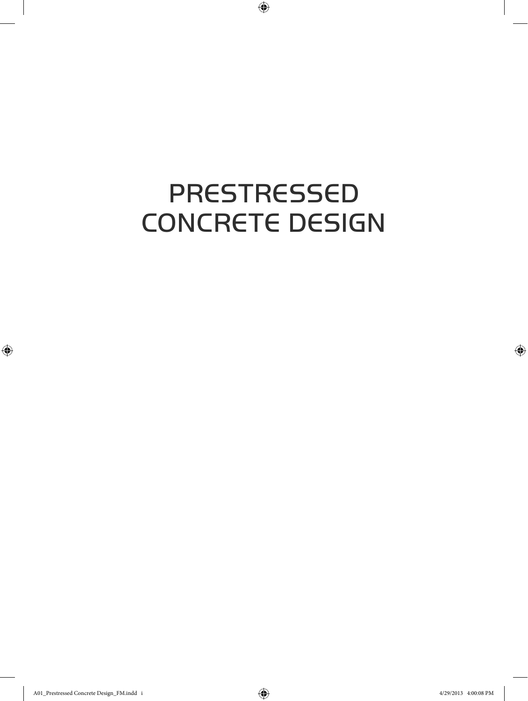# **PRESTRESSED** CONCRETE DESIGN

 $\bigoplus$ 

 $\bigoplus$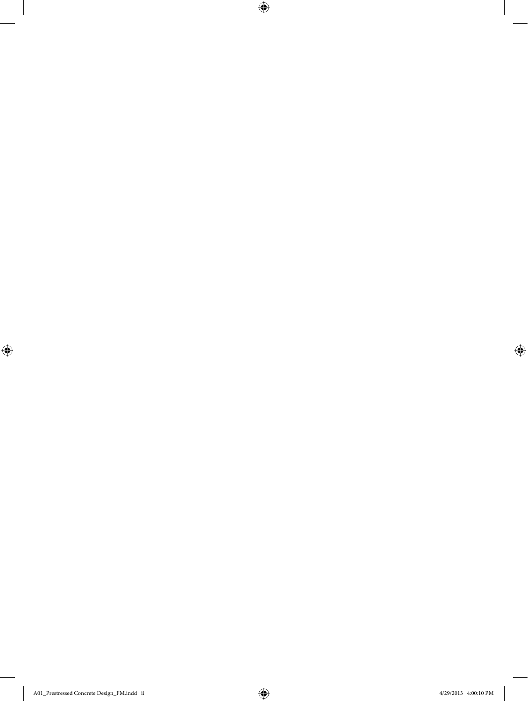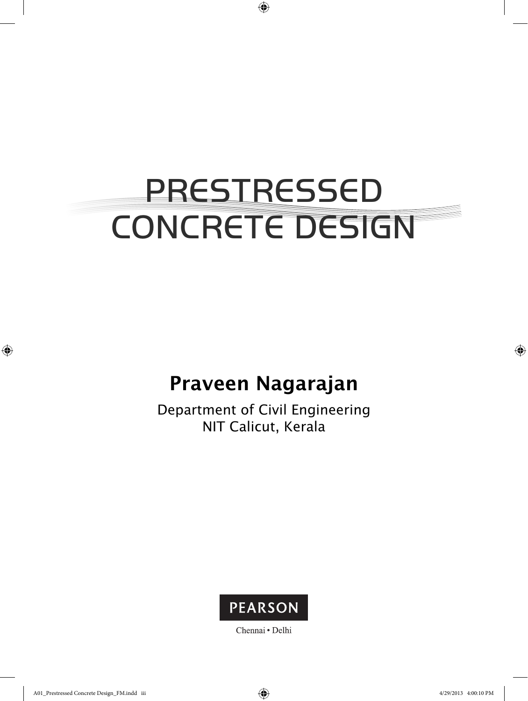# PRESTRESSED CONCRETE DESIGN

 $\bigoplus$ 

# Praveen Nagarajan

Department of Civil Engineering NIT Calicut, Kerala

# **PEARSON**

Chennai · Delhi

 $\bigoplus$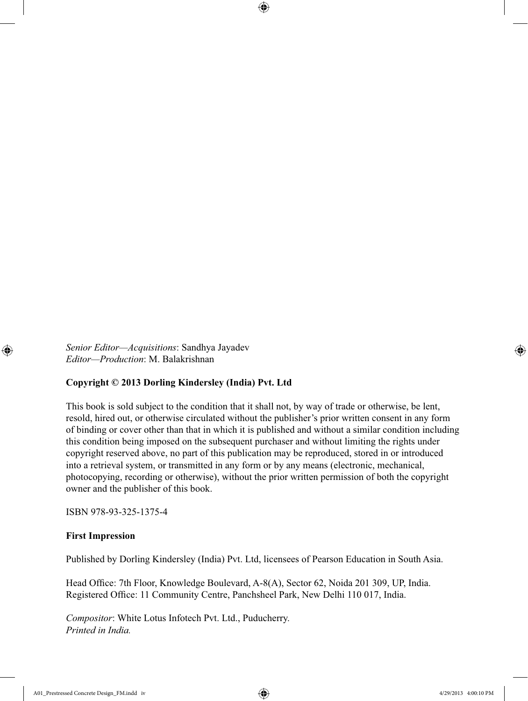*Senior Editor—Acquisitions*: Sandhya Jayadev *Editor—Production*: M. Balakrishnan

### **Copyright © 2013 Dorling Kindersley (India) Pvt. Ltd**

This book is sold subject to the condition that it shall not, by way of trade or otherwise, be lent, resold, hired out, or otherwise circulated without the publisher's prior written consent in any form of binding or cover other than that in which it is published and without a similar condition including this condition being imposed on the subsequent purchaser and without limiting the rights under copyright reserved above, no part of this publication may be reproduced, stored in or introduced into a retrieval system, or transmitted in any form or by any means (electronic, mechanical, photocopying, recording or otherwise), without the prior written permission of both the copyright owner and the publisher of this book.

 $\bigoplus$ 

ISBN 978-93-325-1375-4

### **First Impression**

⊕

Published by Dorling Kindersley (India) Pvt. Ltd, licensees of Pearson Education in South Asia.

Head Office: 7th Floor, Knowledge Boulevard, A-8(A), Sector 62, Noida 201 309, UP, India. Registered Office: 11 Community Centre, Panchsheel Park, New Delhi 110 017, India.

*Compositor*: White Lotus Infotech Pvt. Ltd., Puducherry. *Printed in India.*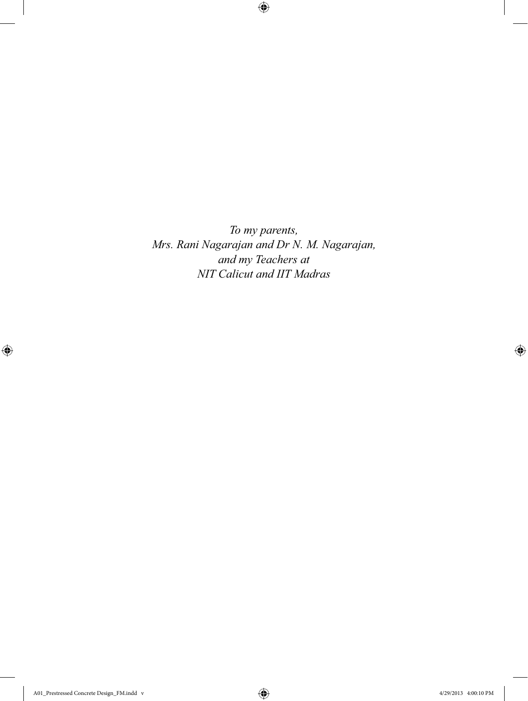*To my parents, Mrs. Rani Nagarajan and Dr N. M. Nagarajan, and my Teachers at NIT Calicut and IIT Madras*

 $\bigoplus$ 

 $\bigoplus$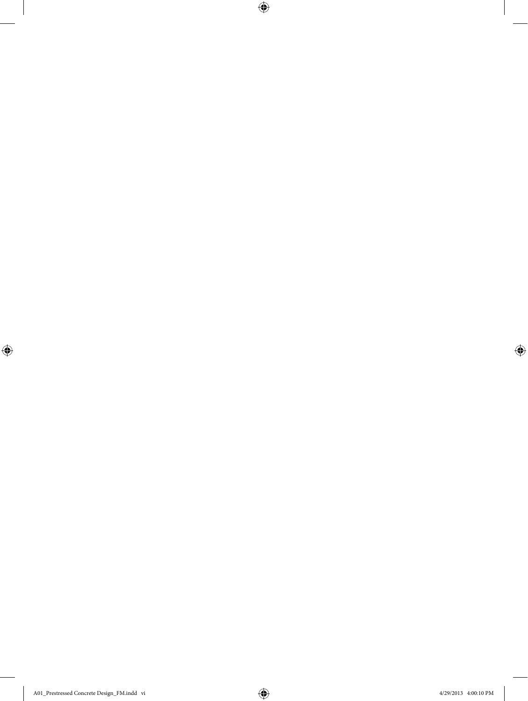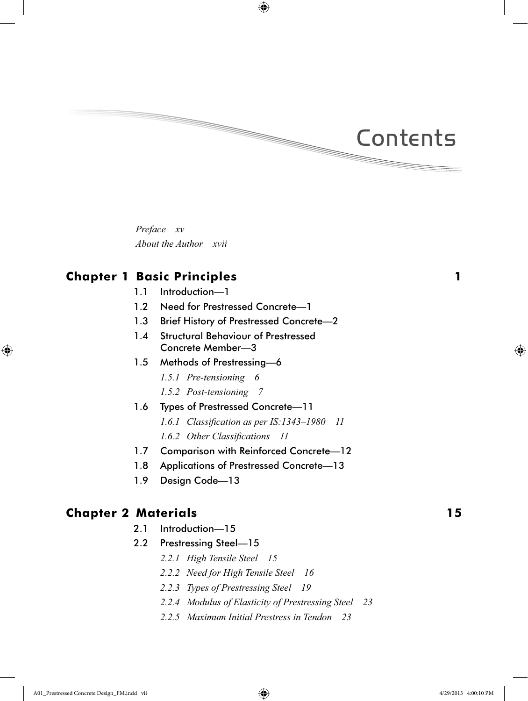

 *Preface xv About the Author xvii*

# **Chapter 1 Basic Principles 1**

- 1.1 Introduction—1
- 1.2 Need for Prestressed Concrete—1
- 1.3 Brief History of Prestressed Concrete—2
- 1.4 Structural Behaviour of Prestressed Concrete Member—3
- 1.5 Methods of Prestressing—6
	- *1.5.1 Pre-tensioning 6*
	- *1.5.2 Post-tensioning 7*
- 1.6 Types of Prestressed Concrete—11
	- *1.6.1 Classifi cation as per IS:1343–1980 11*
	- *1.6.2 Other Classifications 11*
- 1.7 Comparison with Reinforced Concrete—12
- 1.8 Applications of Prestressed Concrete—13
- 1.9 Design Code—13

# **Chapter 2 Materials 15**

- 2.1 Introduction—15
- 2.2 Prestressing Steel—15
	- *2.2.1 High Tensile Steel 15*
	- *2.2.2 Need for High Tensile Steel 16*
	- *2.2.3 Types of Prestressing Steel 19*
	- *2.2.4 Modulus of Elasticity of Prestressing Steel 23*
	- *2.2.5 Maximum Initial Prestress in Tendon 23*

A01\_Prestressed Concrete Design\_FM.indd vii 4/29/2013 4:00:10 PM

⊕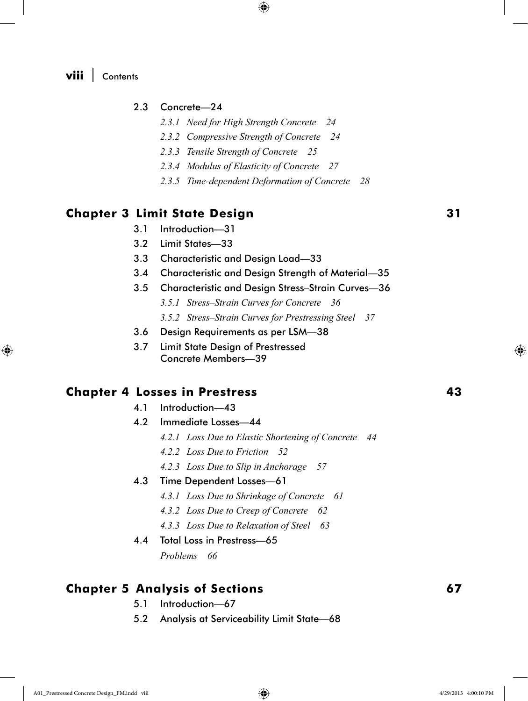# **viii** Contents

⊕

## 2.3 Concrete—24

| 2.3.1 Need for High Strength Concrete 24 |  |
|------------------------------------------|--|
|                                          |  |

- *2.3.2 Compressive Strength of Concrete 24*
- *2.3.3 Tensile Strength of Concrete 25*
- *2.3.4 Modulus of Elasticity of Concrete 27*
- *2.3.5 Time-dependent Deformation of Concrete 28*

 $\textcircled{\scriptsize{+}}$ 

# **Chapter 3 Limit State Design 31**

- 3.1 Introduction—31
- 3.2 Limit States—33
- 3.3 Characteristic and Design Load—33
- 3.4 Characteristic and Design Strength of Material—35
- 3.5 Characteristic and Design Stress–Strain Curves—36
	- *3.5.1 Stress–Strain Curves for Concrete 36*
	- *3.5.2 Stress–Strain Curves for Prestressing Steel 37*
- 3.6 Design Requirements as per LSM—38
- 3.7 Limit State Design of Prestressed Concrete Members—39

# **Chapter 4 Losses in Prestress 43**

|  | 4.1 Introduction-43 |
|--|---------------------|
|--|---------------------|

- 4.2 Immediate Losses—44
	- *4.2.1 Loss Due to Elastic Shortening of Concrete 44*
	- *4.2.2 Loss Due to Friction 52*
	- *4.2.3 Loss Due to Slip in Anchorage 57*

### 4.3 Time Dependent Losses—61

- *4.3.1 Loss Due to Shrinkage of Concrete 61*
- *4.3.2 Loss Due to Creep of Concrete 62*
- *4.3.3 Loss Due to Relaxation of Steel 63*

# 4.4 Total Loss in Prestress—65

*Problems 66*

# **Chapter 5 Analysis of Sections 67**

- 5.1 Introduction—67
- 5.2 Analysis at Serviceability Limit State—68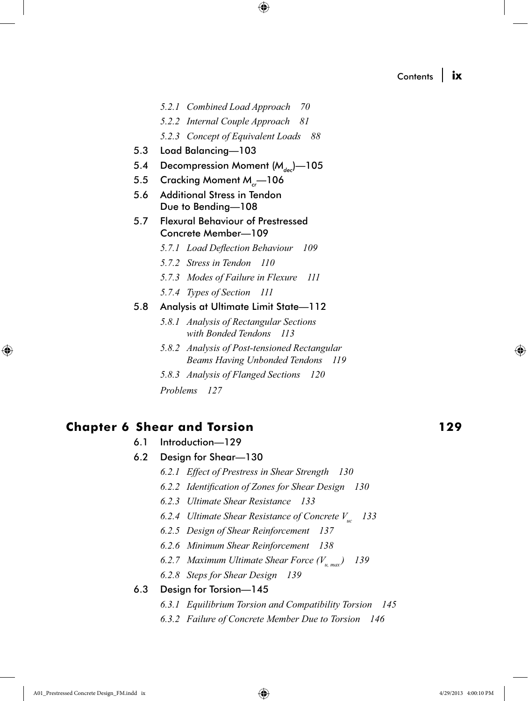Contents **ix**

| 5.2.2 Internal Couple Approach 81                                                    |
|--------------------------------------------------------------------------------------|
| 5.2.3 Concept of Equivalent Loads<br>-88                                             |
| Load Balancing-103<br>5.3                                                            |
| 5.4<br>Decompression Moment $(M_{\text{dec}})$ —105                                  |
| 5.5<br>Cracking Moment $M_{cr}$ -106                                                 |
| <b>Additional Stress in Tendon</b><br>5.6<br>Due to Bending-108                      |
| <b>Flexural Behaviour of Prestressed</b><br>5.7<br>Concrete Member-109               |
| 5.7.1 Load Deflection Behaviour<br>109                                               |
| 5.7.2 Stress in Tendon<br>110                                                        |
| 5.7.3 Modes of Failure in Flexure<br>111                                             |
| 5.7.4 Types of Section 111                                                           |
| 5.8 Analysis at Ultimate Limit State-112                                             |
| 5.8.1 Analysis of Rectangular Sections<br>with Bonded Tendons<br>- 113               |
| 5.8.2 Analysis of Post-tensioned Rectangular<br>Beams Having Unbonded Tendons<br>119 |
| 5.8.3 Analysis of Flanged Sections<br><i>120</i>                                     |
| <b>Problems</b><br>127                                                               |
|                                                                                      |

 *5.2.1 Combined Load Approach 70*

 $\bigoplus$ 

# **Chapter 6 Shear and Torsion 129**

- 6.1 Introduction—129
- 6.2 Design for Shear—130
	- *6.2.1 Effect of Prestress in Shear Strength 130*
	- 6.2.2 Identification of Zones for Shear Design 130
	- *6.2.3 Ultimate Shear Resistance 133*
	- *6.2.4 Ultimate Shear Resistance of Concrete Vuc 133*
	- *6.2.5 Design of Shear Reinforcement 137*
	- *6.2.6 Minimum Shear Reinforcement 138*
	- *6.2.7 Maximum Ultimate Shear Force (Vu, max ) 139*
	- *6.2.8 Steps for Shear Design 139*

## 6.3 Design for Torsion—145

- *6.3.1 Equilibrium Torsion and Compatibility Torsion 145*
- *6.3.2 Failure of Concrete Member Due to Torsion 146*

A01\_Prestressed Concrete Design\_FM.indd ix 4/29/2013 4:00:10 PM

 $\bigoplus$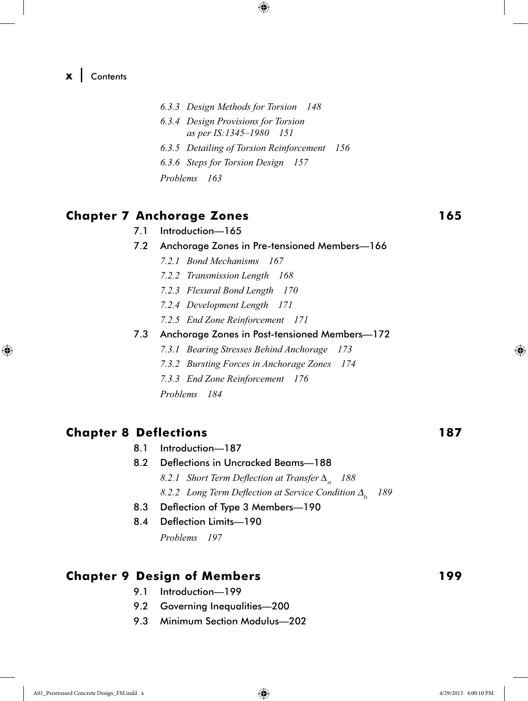# **x** Contents

⊕

- *6.3.3 Design Methods for Torsion 148*
- *6.3.4 Design Provisions for Torsion as per IS:1345–1980 151*
- *6.3.5 Detailing of Torsion Reinforcement 156*

 $\textcircled{\scriptsize{+}}$ 

 *6.3.6 Steps for Torsion Design 157*

*Problems 163*

# **Chapter 7 Anchorage Zones** 2001 2003 2004 2016

# 7.1 Introduction—165

- 7.2 Anchorage Zones in Pre-tensioned Members—166
	- *7.2.1 Bond Mechanisms 167*
	- *7.2.2 Transmission Length 168*
	- *7.2.3 Flexural Bond Length 170*
	- *7.2.4 Development Length 171*
	- *7.2.5 End Zone Reinforcement 171*

7.3 Anchorage Zones in Post-tensioned Members—172

- *7.3.1 Bearing Stresses Behind Anchorage 173*
- *7.3.2 Bursting Forces in Anchorage Zones 174*
- *7.3.3 End Zone Reinforcement 176*

*Problems 184*

# **Chapter 8 Deflections 187**

- 8.1 Introduction—187
- 8.2 Deflections in Uncracked Beams—188
	- *8.2.1 Short Term Deflection at Transfer* ∆<sub>st</sub> 188
	- 8.2.2 Long Term Deflection at Service Condition  $\Delta$ <sup>*Is*</sup>
- 8.3 Deflection of Type 3 Members—190
- 8.4 Deflection Limits—190

*Problems 197*

# **Chapter 9 Design of Members 199**

- 9.1 Introduction—199
- 9.2 Governing Inequalities—200
- 9.3 Minimum Section Modulus—202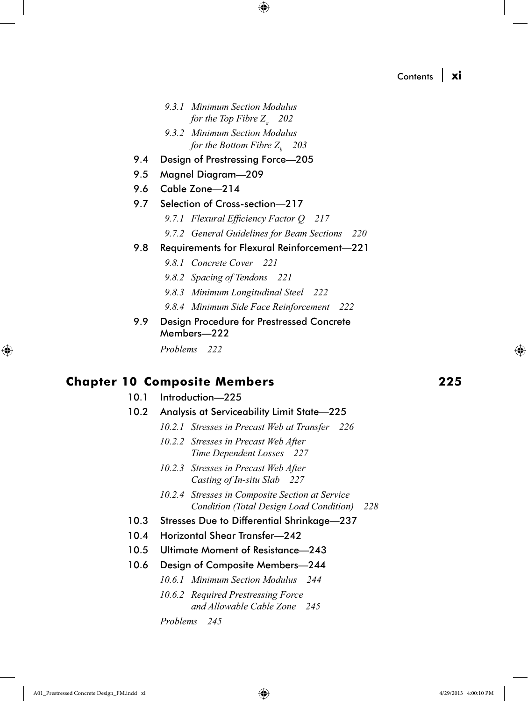- *9.3.1 Minimum Section Modulus for the Top Fibre Za 202*
- *9.3.2 Minimum Section Modulus for the Bottom Fibre Zb 203*
- 9.4 Design of Prestressing Force—205
- 9.5 Magnel Diagram—209
- 9.6 Cable Zone—214
- 9.7 Selection of Cross-section—217
	- 9.7.1 Flexural Efficiency Factor Q 217
	- *9.7.2 General Guidelines for Beam Sections 220*

 $\textcircled{\scriptsize{+}}$ 

- 9.8 Requirements for Flexural Reinforcement—221
	- *9.8.1 Concrete Cover 221*
	- *9.8.2 Spacing of Tendons 221*
	- *9.8.3 Minimum Longitudinal Steel 222*
	- *9.8.4 Minimum Side Face Reinforcement 222*
- 9.9 Design Procedure for Prestressed Concrete Members—222

*Problems 222*

# **Chapter 10 Composite Members 225**

10.1 Introduction—225

- 10.2 Analysis at Serviceability Limit State—225
	- *10.2.1 Stresses in Precast Web at Transfer 226*
	- *10.2.2 Stresses in Precast Web After Time Dependent Losses 227*
	- *10.2.3 Stresses in Precast Web After Casting of In-situ Slab 227*
	- *10.2.4 Stresses in Composite Section at Service Condition (Total Design Load Condition) 228*
- 10.3 Stresses Due to Differential Shrinkage—237
- 10.4 Horizontal Shear Transfer—242
- 10.5 Ultimate Moment of Resistance—243
- 10.6 Design of Composite Members—244
	- *10.6.1 Minimum Section Modulus 244*
	- *10.6.2 Required Prestressing Force and Allowable Cable Zone 245*
	- *Problems 245*

A01\_Prestressed Concrete Design\_FM.indd xi 4/29/2013 4:00:10 PM

 $\bigoplus$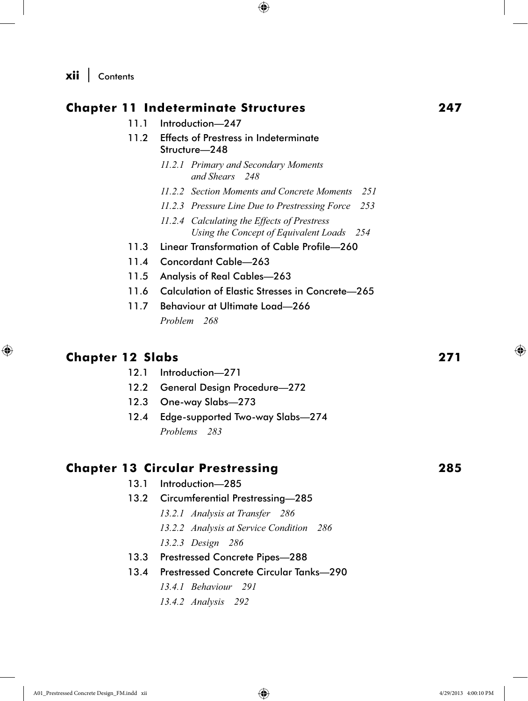**xii** Contents

 $\overline{\phantom{a}}$ 

 $\bigoplus$ 

| <b>Chapter 11 Indeterminate Structures</b><br>247 |                                                                                          |     |  |  |
|---------------------------------------------------|------------------------------------------------------------------------------------------|-----|--|--|
| 11.1                                              | Introduction-247                                                                         |     |  |  |
| 11.2                                              | <b>Effects of Prestress in Indeterminate</b><br>Structure-248                            |     |  |  |
|                                                   | 11.2.1 Primary and Secondary Moments<br>and Shears 248                                   |     |  |  |
|                                                   | 11.2.2 Section Moments and Concrete Moments<br>251                                       |     |  |  |
|                                                   | 11.2.3 Pressure Line Due to Prestressing Force<br>253                                    |     |  |  |
|                                                   | 11.2.4 Calculating the Effects of Prestress<br>Using the Concept of Equivalent Loads 254 |     |  |  |
| 11.3                                              | Linear Transformation of Cable Profile-260                                               |     |  |  |
| 11.4                                              | Concordant Cable-263                                                                     |     |  |  |
| 11.5                                              | Analysis of Real Cables-263                                                              |     |  |  |
| 11.6                                              | Calculation of Elastic Stresses in Concrete-265                                          |     |  |  |
| 11.7                                              | Behaviour at Ultimate Load-266                                                           |     |  |  |
|                                                   | Problem 268                                                                              |     |  |  |
|                                                   |                                                                                          |     |  |  |
| <b>Chapter 12 Slabs</b>                           |                                                                                          | 271 |  |  |
|                                                   | 12.1 Introduction-271                                                                    |     |  |  |
|                                                   | 12.2 General Design Procedure-272                                                        |     |  |  |
| 12.3                                              | One-way Slabs-273                                                                        |     |  |  |
| 12.4                                              | Edge-supported Two-way Slabs-274                                                         |     |  |  |
|                                                   | Problems 283                                                                             |     |  |  |
|                                                   |                                                                                          |     |  |  |
|                                                   | <b>Chapter 13 Circular Prestressing</b>                                                  | 285 |  |  |
|                                                   | 13.1 Introduction-285                                                                    |     |  |  |
| 13.2                                              | Circumferential Prestressing-285                                                         |     |  |  |
|                                                   | 13.2.1 Analysis at Transfer 286                                                          |     |  |  |
|                                                   | 13.2.2 Analysis at Service Condition 286                                                 |     |  |  |
|                                                   | 13.2.3 Design 286                                                                        |     |  |  |
| 13.3                                              | <b>Prestressed Concrete Pipes-288</b>                                                    |     |  |  |
| 13.4                                              | <b>Prestressed Concrete Circular Tanks-290</b>                                           |     |  |  |
|                                                   | 13.4.1 Behaviour 291                                                                     |     |  |  |
|                                                   | 13.4.2 Analysis 292                                                                      |     |  |  |

 $\bigoplus$ 

 $\overline{\phantom{a}}$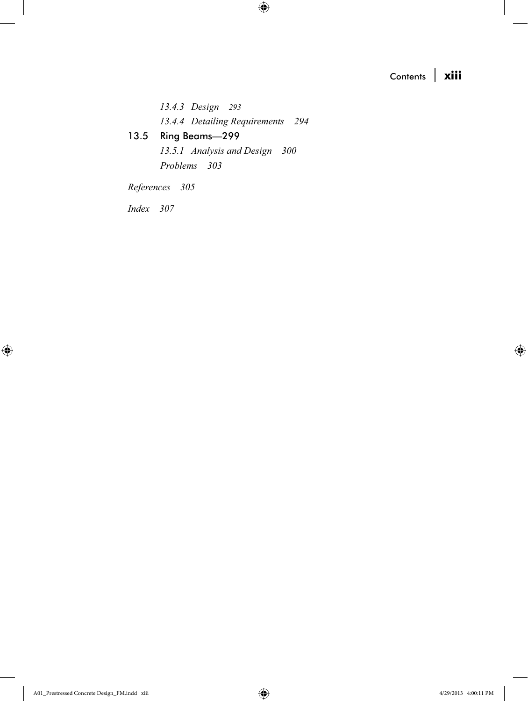# Contents **xiii**

 *13.4.3 Design 293 13.4.4 Detailing Requirements 294*

 $\bigoplus$ 

# 13.5 Ring Beams—299

*13.5.1 Analysis and Design 300 Problems 303*

 *References 305*

 *Index 307*

 $\bigoplus$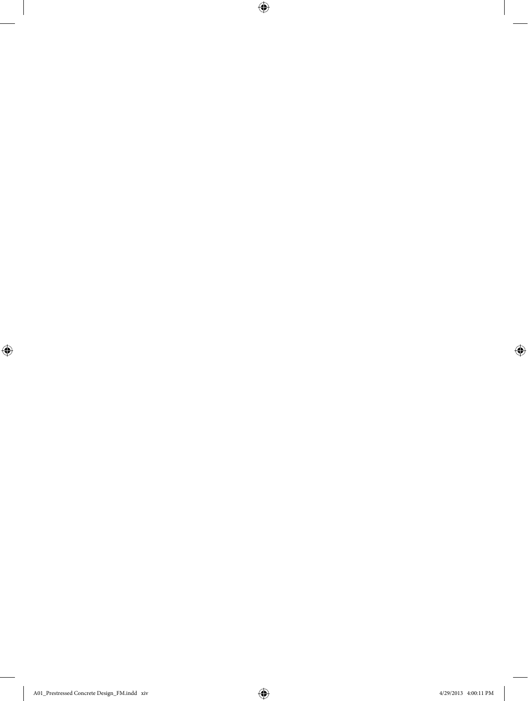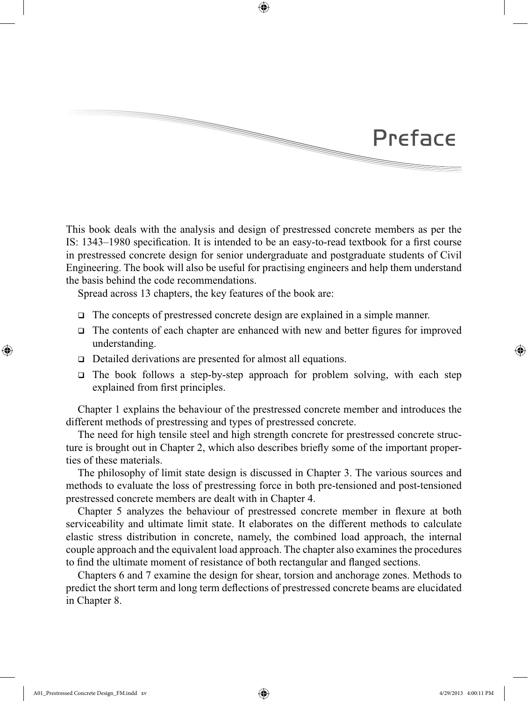

This book deals with the analysis and design of prestressed concrete members as per the IS: 1343–1980 specification. It is intended to be an easy-to-read textbook for a first course in prestressed concrete design for senior undergraduate and postgraduate students of Civil Engineering. The book will also be useful for practising engineers and help them understand the basis behind the code recommendations.

Spread across 13 chapters, the key features of the book are:

- □ The concepts of prestressed concrete design are explained in a simple manner.
- $\Box$  The contents of each chapter are enhanced with new and better figures for improved understanding.
- □ Detailed derivations are presented for almost all equations.
- □ The book follows a step-by-step approach for problem solving, with each step explained from first principles.

Chapter 1 explains the behaviour of the prestressed concrete member and introduces the different methods of prestressing and types of prestressed concrete.

The need for high tensile steel and high strength concrete for prestressed concrete structure is brought out in Chapter 2, which also describes briefly some of the important properties of these materials.

The philosophy of limit state design is discussed in Chapter 3. The various sources and methods to evaluate the loss of prestressing force in both pre-tensioned and post-tensioned prestressed concrete members are dealt with in Chapter 4.

Chapter 5 analyzes the behaviour of prestressed concrete member in flexure at both serviceability and ultimate limit state. It elaborates on the different methods to calculate elastic stress distribution in concrete, namely, the combined load approach, the internal couple approach and the equivalent load approach. The chapter also examines the procedures to find the ultimate moment of resistance of both rectangular and flanged sections.

Chapters 6 and 7 examine the design for shear, torsion and anchorage zones. Methods to predict the short term and long term deflections of prestressed concrete beams are elucidated in Chapter 8.

⊕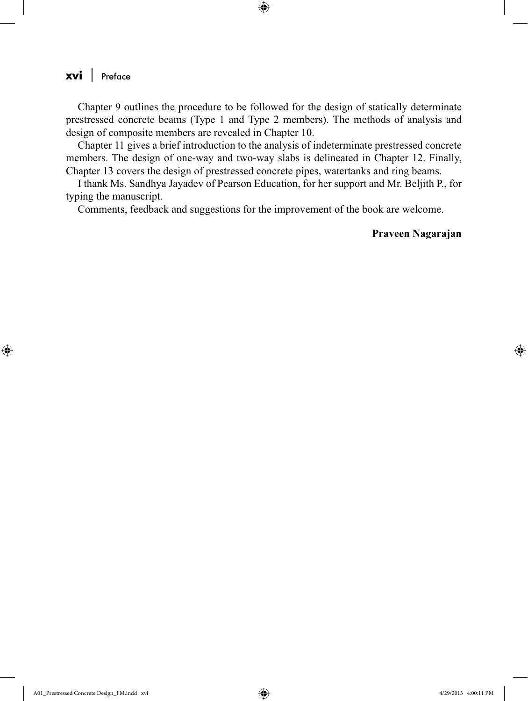# **xvi** Preface

 $\bigoplus$ 

Chapter 9 outlines the procedure to be followed for the design of statically determinate prestressed concrete beams (Type 1 and Type 2 members). The methods of analysis and design of composite members are revealed in Chapter 10.

 $\bigoplus$ 

Chapter 11 gives a brief introduction to the analysis of indeterminate prestressed concrete members. The design of one-way and two-way slabs is delineated in Chapter 12. Finally, Chapter 13 covers the design of prestressed concrete pipes, watertanks and ring beams.

I thank Ms. Sandhya Jayadev of Pearson Education, for her support and Mr. Beljith P., for typing the manuscript.

Comments, feedback and suggestions for the improvement of the book are welcome.

### **Praveen Nagarajan**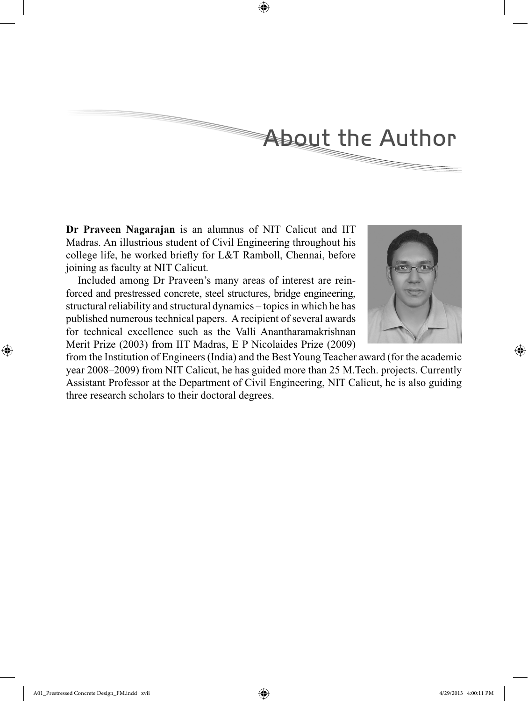

**Dr Praveen Nagarajan** is an alumnus of NIT Calicut and IIT Madras. An illustrious student of Civil Engineering throughout his college life, he worked briefly for L&T Ramboll, Chennai, before joining as faculty at NIT Calicut.

Included among Dr Praveen's many areas of interest are reinforced and prestressed concrete, steel structures, bridge engineering, structural reliability and structural dynamics – topics in which he has published numerous technical papers. A recipient of several awards for technical excellence such as the Valli Anantharamakrishnan Merit Prize (2003) from IIT Madras, E P Nicolaides Prize (2009)



◈

from the Institution of Engineers (India) and the Best Young Teacher award (for the academic year 2008–2009) from NIT Calicut, he has guided more than 25 M.Tech. projects. Currently Assistant Professor at the Department of Civil Engineering, NIT Calicut, he is also guiding three research scholars to their doctoral degrees.

 $\bigoplus$